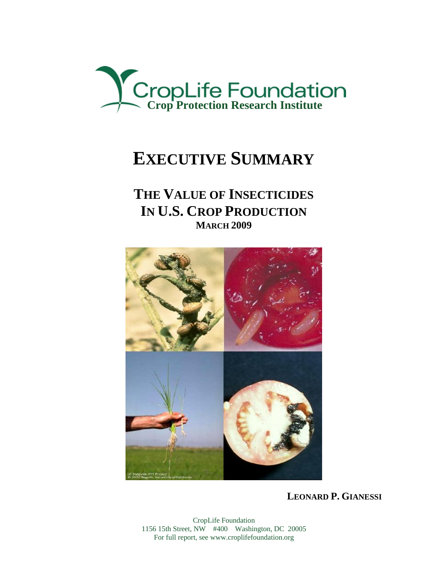

# **EXECUTIVE SUMMARY**

## **THE VALUE OF INSECTICIDES IN U.S. CROP PRODUCTION MARCH 2009**



**LEONARD P. GIANESSI**

CropLife Foundation 1156 15th Street, NW #400 Washington, DC 20005 For full report, see www.croplifefoundation.org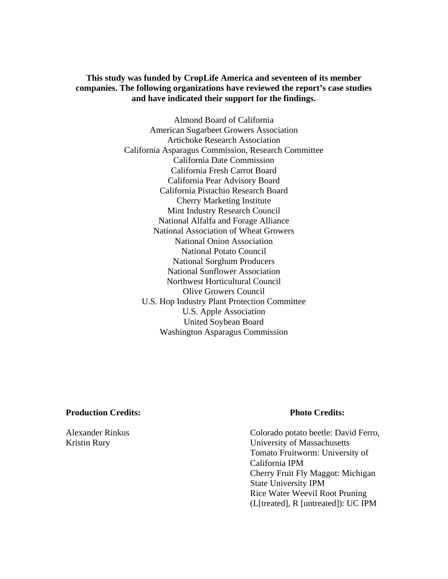**This study was funded by CropLife America and seventeen of its member companies. The following organizations have reviewed the report's case studies and have indicated their support for the findings.** 

> Almond Board of California American Sugarbeet Growers Association Artichoke Research Association California Asparagus Commission, Research Committee California Date Commission California Fresh Carrot Board California Pear Advisory Board California Pistachio Research Board Cherry Marketing Institute Mint Industry Research Council National Alfalfa and Forage Alliance National Association of Wheat Growers National Onion Association National Potato Council National Sorghum Producers National Sunflower Association Northwest Horticultural Council Olive Growers Council U.S. Hop Industry Plant Protection Committee U.S. Apple Association United Soybean Board Washington Asparagus Commission

#### **Production Credits: Photo Credits:**

Alexander Rinkus Colorado potato beetle: David Ferro, Kristin Rury University of Massachusetts Tomato Fruitworm: University of California IPM Cherry Fruit Fly Maggot: Michigan State University IPM Rice Water Weevil Root Pruning (L[treated], R [untreated]): UC IPM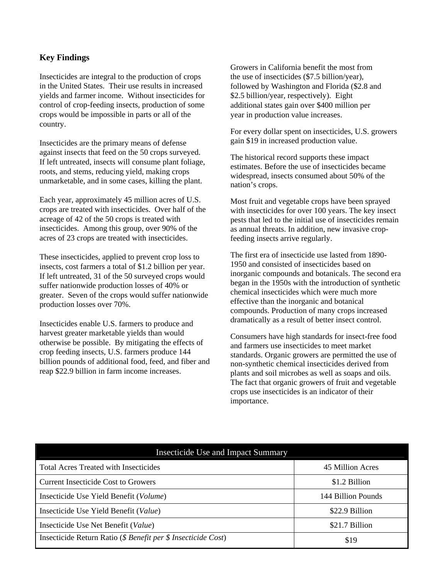### **Key Findings**

Insecticides are integral to the production of crops in the United States. Their use results in increased yields and farmer income. Without insecticides for control of crop-feeding insects, production of some crops would be impossible in parts or all of the country.

Insecticides are the primary means of defense against insects that feed on the 50 crops surveyed. If left untreated, insects will consume plant foliage, roots, and stems, reducing yield, making crops unmarketable, and in some cases, killing the plant.

Each year, approximately 45 million acres of U.S. crops are treated with insecticides. Over half of the acreage of 42 of the 50 crops is treated with insecticides. Among this group, over 90% of the acres of 23 crops are treated with insecticides.

These insecticides, applied to prevent crop loss to insects, cost farmers a total of \$1.2 billion per year. If left untreated, 31 of the 50 surveyed crops would suffer nationwide production losses of 40% or greater. Seven of the crops would suffer nationwide production losses over 70%.

Insecticides enable U.S. farmers to produce and harvest greater marketable yields than would otherwise be possible. By mitigating the effects of crop feeding insects, U.S. farmers produce 144 billion pounds of additional food, feed, and fiber and reap \$22.9 billion in farm income increases.

Growers in California benefit the most from the use of insecticides (\$7.5 billion/year), followed by Washington and Florida (\$2.8 and \$2.5 billion/year, respectively). Eight additional states gain over \$400 million per year in production value increases.

For every dollar spent on insecticides, U.S. growers gain \$19 in increased production value.

The historical record supports these impact estimates. Before the use of insecticides became widespread, insects consumed about 50% of the nation's crops.

Most fruit and vegetable crops have been sprayed with insecticides for over 100 years. The key insect pests that led to the initial use of insecticides remain as annual threats. In addition, new invasive cropfeeding insects arrive regularly.

The first era of insecticide use lasted from 1890- 1950 and consisted of insecticides based on inorganic compounds and botanicals. The second era began in the 1950s with the introduction of synthetic chemical insecticides which were much more effective than the inorganic and botanical compounds. Production of many crops increased dramatically as a result of better insect control.

Consumers have high standards for insect-free food and farmers use insecticides to meet market standards. Organic growers are permitted the use of non-synthetic chemical insecticides derived from plants and soil microbes as well as soaps and oils. The fact that organic growers of fruit and vegetable crops use insecticides is an indicator of their importance.

| <b>Insecticide Use and Impact Summary</b>                     |                    |  |  |  |
|---------------------------------------------------------------|--------------------|--|--|--|
| <b>Total Acres Treated with Insecticides</b>                  | 45 Million Acres   |  |  |  |
| <b>Current Insecticide Cost to Growers</b>                    | \$1.2 Billion      |  |  |  |
| Insecticide Use Yield Benefit (Volume)                        | 144 Billion Pounds |  |  |  |
| Insecticide Use Yield Benefit (Value)                         | \$22.9 Billion     |  |  |  |
| Insecticide Use Net Benefit (Value)                           | \$21.7 Billion     |  |  |  |
| Insecticide Return Ratio (\$ Benefit per \$ Insecticide Cost) | \$19               |  |  |  |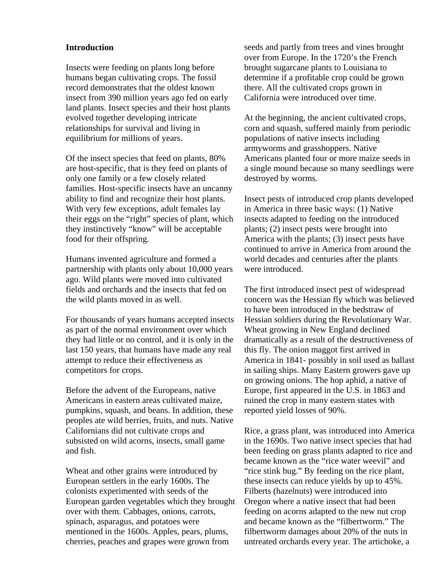#### **Introduction**

Insects were feeding on plants long before humans began cultivating crops. The fossil record demonstrates that the oldest known insect from 390 million years ago fed on early land plants. Insect species and their host plants evolved together developing intricate relationships for survival and living in equilibrium for millions of years.

Of the insect species that feed on plants, 80% are host-specific, that is they feed on plants of only one family or a few closely related families. Host-specific insects have an uncanny ability to find and recognize their host plants. With very few exceptions, adult females lay their eggs on the "right" species of plant, which they instinctively "know" will be acceptable food for their offspring.

Humans invented agriculture and formed a partnership with plants only about 10,000 years ago. Wild plants were moved into cultivated fields and orchards and the insects that fed on the wild plants moved in as well.

For thousands of years humans accepted insects as part of the normal environment over which they had little or no control, and it is only in the last 150 years, that humans have made any real attempt to reduce their effectiveness as competitors for crops.

Before the advent of the Europeans, native Americans in eastern areas cultivated maize, pumpkins, squash, and beans. In addition, these peoples ate wild berries, fruits, and nuts. Native Californians did not cultivate crops and subsisted on wild acorns, insects, small game and fish.

Wheat and other grains were introduced by European settlers in the early 1600s. The colonists experimented with seeds of the European garden vegetables which they brought over with them. Cabbages, onions, carrots, spinach, asparagus, and potatoes were mentioned in the 1600s. Apples, pears, plums, cherries, peaches and grapes were grown from

seeds and partly from trees and vines brought over from Europe. In the 1720's the French brought sugarcane plants to Louisiana to determine if a profitable crop could be grown there. All the cultivated crops grown in California were introduced over time.

At the beginning, the ancient cultivated crops, corn and squash, suffered mainly from periodic populations of native insects including armyworms and grasshoppers. Native Americans planted four or more maize seeds in a single mound because so many seedlings were destroyed by worms.

Insect pests of introduced crop plants developed in America in three basic ways: (1) Native insects adapted to feeding on the introduced plants; (2) insect pests were brought into America with the plants; (3) insect pests have continued to arrive in America from around the world decades and centuries after the plants were introduced.

The first introduced insect pest of widespread concern was the Hessian fly which was believed to have been introduced in the bedstraw of Hessian soldiers during the Revolutionary War. Wheat growing in New England declined dramatically as a result of the destructiveness of this fly. The onion maggot first arrived in America in 1841- possibly in soil used as ballast in sailing ships. Many Eastern growers gave up on growing onions. The hop aphid, a native of Europe, first appeared in the U.S. in 1863 and ruined the crop in many eastern states with reported yield losses of 90%.

Rice, a grass plant, was introduced into America in the 1690s. Two native insect species that had been feeding on grass plants adapted to rice and became known as the "rice water weevil" and "rice stink bug." By feeding on the rice plant, these insects can reduce yields by up to 45%. Filberts (hazelnuts) were introduced into Oregon where a native insect that had been feeding on acorns adapted to the new nut crop and became known as the "filbertworm." The filbertworm damages about 20% of the nuts in untreated orchards every year. The artichoke, a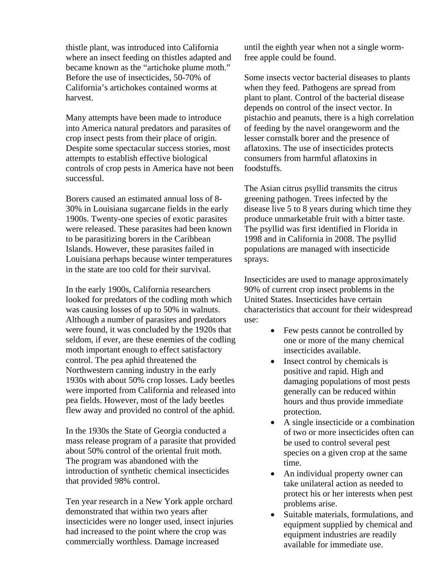thistle plant, was introduced into California where an insect feeding on thistles adapted and became known as the "artichoke plume moth." Before the use of insecticides, 50-70% of California's artichokes contained worms at harvest.

Many attempts have been made to introduce into America natural predators and parasites of crop insect pests from their place of origin. Despite some spectacular success stories, most attempts to establish effective biological controls of crop pests in America have not been successful.

Borers caused an estimated annual loss of 8- 30% in Louisiana sugarcane fields in the early 1900s. Twenty-one species of exotic parasites were released. These parasites had been known to be parasitizing borers in the Caribbean Islands. However, these parasites failed in Louisiana perhaps because winter temperatures in the state are too cold for their survival.

In the early 1900s, California researchers looked for predators of the codling moth which was causing losses of up to 50% in walnuts. Although a number of parasites and predators were found, it was concluded by the 1920s that seldom, if ever, are these enemies of the codling moth important enough to effect satisfactory control. The pea aphid threatened the Northwestern canning industry in the early 1930s with about 50% crop losses. Lady beetles were imported from California and released into pea fields. However, most of the lady beetles flew away and provided no control of the aphid.

In the 1930s the State of Georgia conducted a mass release program of a parasite that provided about 50% control of the oriental fruit moth. The program was abandoned with the introduction of synthetic chemical insecticides that provided 98% control.

Ten year research in a New York apple orchard demonstrated that within two years after insecticides were no longer used, insect injuries had increased to the point where the crop was commercially worthless. Damage increased

until the eighth year when not a single wormfree apple could be found.

Some insects vector bacterial diseases to plants when they feed. Pathogens are spread from plant to plant. Control of the bacterial disease depends on control of the insect vector. In pistachio and peanuts, there is a high correlation of feeding by the navel orangeworm and the lesser cornstalk borer and the presence of aflatoxins. The use of insecticides protects consumers from harmful aflatoxins in foodstuffs.

The Asian citrus psyllid transmits the citrus greening pathogen. Trees infected by the disease live 5 to 8 years during which time they produce unmarketable fruit with a bitter taste. The psyllid was first identified in Florida in 1998 and in California in 2008. The psyllid populations are managed with insecticide sprays.

Insecticides are used to manage approximately 90% of current crop insect problems in the United States. Insecticides have certain characteristics that account for their widespread use:

- Few pests cannot be controlled by one or more of the many chemical insecticides available.
- Insect control by chemicals is positive and rapid. High and damaging populations of most pests generally can be reduced within hours and thus provide immediate protection.
- A single insecticide or a combination of two or more insecticides often can be used to control several pest species on a given crop at the same time.
- An individual property owner can take unilateral action as needed to protect his or her interests when pest problems arise.
- Suitable materials, formulations, and equipment supplied by chemical and equipment industries are readily available for immediate use.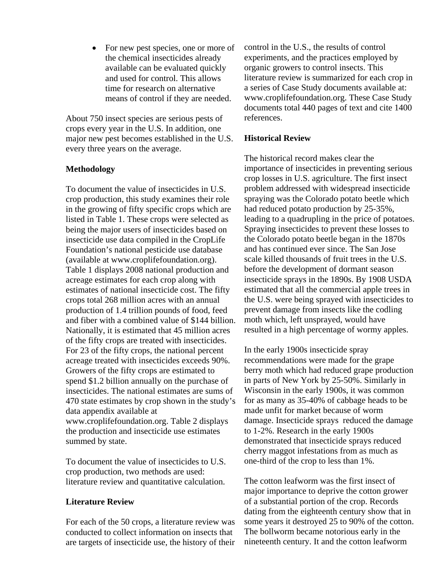• For new pest species, one or more of the chemical insecticides already available can be evaluated quickly and used for control. This allows time for research on alternative means of control if they are needed.

About 750 insect species are serious pests of crops every year in the U.S. In addition, one major new pest becomes established in the U.S. every three years on the average.

#### **Methodology**

To document the value of insecticides in U.S. crop production, this study examines their role in the growing of fifty specific crops which are listed in Table 1. These crops were selected as being the major users of insecticides based on insecticide use data compiled in the CropLife Foundation's national pesticide use database (available at www.croplifefoundation.org). Table 1 displays 2008 national production and acreage estimates for each crop along with estimates of national insecticide cost. The fifty crops total 268 million acres with an annual production of 1.4 trillion pounds of food, feed and fiber with a combined value of \$144 billion. Nationally, it is estimated that 45 million acres of the fifty crops are treated with insecticides. For 23 of the fifty crops, the national percent acreage treated with insecticides exceeds 90%. Growers of the fifty crops are estimated to spend \$1.2 billion annually on the purchase of insecticides. The national estimates are sums of 470 state estimates by crop shown in the study's data appendix available at www.croplifefoundation.org. Table 2 displays the production and insecticide use estimates summed by state.

To document the value of insecticides to U.S. crop production, two methods are used: literature review and quantitative calculation.

#### **Literature Review**

For each of the 50 crops, a literature review was conducted to collect information on insects that are targets of insecticide use, the history of their control in the U.S., the results of control experiments, and the practices employed by organic growers to control insects. This literature review is summarized for each crop in a series of Case Study documents available at: www.croplifefoundation.org. These Case Study documents total 440 pages of text and cite 1400 references.

#### **Historical Review**

The historical record makes clear the importance of insecticides in preventing serious crop losses in U.S. agriculture. The first insect problem addressed with widespread insecticide spraying was the Colorado potato beetle which had reduced potato production by 25-35%, leading to a quadrupling in the price of potatoes. Spraying insecticides to prevent these losses to the Colorado potato beetle began in the 1870s and has continued ever since. The San Jose scale killed thousands of fruit trees in the U.S. before the development of dormant season insecticide sprays in the 1890s. By 1908 USDA estimated that all the commercial apple trees in the U.S. were being sprayed with insecticides to prevent damage from insects like the codling moth which, left unsprayed, would have resulted in a high percentage of wormy apples.

In the early 1900s insecticide spray recommendations were made for the grape berry moth which had reduced grape production in parts of New York by 25-50%. Similarly in Wisconsin in the early 1900s, it was common for as many as 35-40% of cabbage heads to be made unfit for market because of worm damage. Insecticide sprays reduced the damage to 1-2%. Research in the early 1900s demonstrated that insecticide sprays reduced cherry maggot infestations from as much as one-third of the crop to less than 1%.

The cotton leafworm was the first insect of major importance to deprive the cotton grower of a substantial portion of the crop. Records dating from the eighteenth century show that in some years it destroyed 25 to 90% of the cotton. The bollworm became notorious early in the nineteenth century. It and the cotton leafworm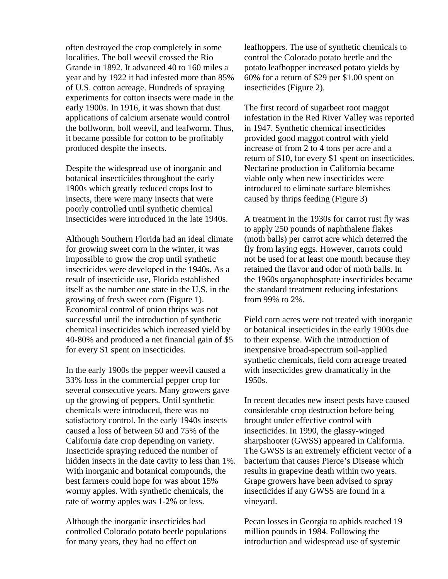often destroyed the crop completely in some localities. The boll weevil crossed the Rio Grande in 1892. It advanced 40 to 160 miles a year and by 1922 it had infested more than 85% of U.S. cotton acreage. Hundreds of spraying experiments for cotton insects were made in the early 1900s. In 1916, it was shown that dust applications of calcium arsenate would control the bollworm, boll weevil, and leafworm. Thus, it became possible for cotton to be profitably produced despite the insects.

Despite the widespread use of inorganic and botanical insecticides throughout the early 1900s which greatly reduced crops lost to insects, there were many insects that were poorly controlled until synthetic chemical insecticides were introduced in the late 1940s.

Although Southern Florida had an ideal climate for growing sweet corn in the winter, it was impossible to grow the crop until synthetic insecticides were developed in the 1940s. As a result of insecticide use, Florida established itself as the number one state in the U.S. in the growing of fresh sweet corn (Figure 1). Economical control of onion thrips was not successful until the introduction of synthetic chemical insecticides which increased yield by 40-80% and produced a net financial gain of \$5 for every \$1 spent on insecticides.

In the early 1900s the pepper weevil caused a 33% loss in the commercial pepper crop for several consecutive years. Many growers gave up the growing of peppers. Until synthetic chemicals were introduced, there was no satisfactory control. In the early 1940s insects caused a loss of between 50 and 75% of the California date crop depending on variety. Insecticide spraying reduced the number of hidden insects in the date cavity to less than 1%. With inorganic and botanical compounds, the best farmers could hope for was about 15% wormy apples. With synthetic chemicals, the rate of wormy apples was 1-2% or less.

Although the inorganic insecticides had controlled Colorado potato beetle populations for many years, they had no effect on

leafhoppers. The use of synthetic chemicals to control the Colorado potato beetle and the potato leafhopper increased potato yields by 60% for a return of \$29 per \$1.00 spent on insecticides (Figure 2).

The first record of sugarbeet root maggot infestation in the Red River Valley was reported in 1947. Synthetic chemical insecticides provided good maggot control with yield increase of from 2 to 4 tons per acre and a return of \$10, for every \$1 spent on insecticides. Nectarine production in California became viable only when new insecticides were introduced to eliminate surface blemishes caused by thrips feeding (Figure 3)

A treatment in the 1930s for carrot rust fly was to apply 250 pounds of naphthalene flakes (moth balls) per carrot acre which deterred the fly from laying eggs. However, carrots could not be used for at least one month because they retained the flavor and odor of moth balls. In the 1960s organophosphate insecticides became the standard treatment reducing infestations from 99% to 2%.

Field corn acres were not treated with inorganic or botanical insecticides in the early 1900s due to their expense. With the introduction of inexpensive broad-spectrum soil-applied synthetic chemicals, field corn acreage treated with insecticides grew dramatically in the 1950s.

In recent decades new insect pests have caused considerable crop destruction before being brought under effective control with insecticides. In 1990, the glassy-winged sharpshooter (GWSS) appeared in California. The GWSS is an extremely efficient vector of a bacterium that causes Pierce's Disease which results in grapevine death within two years. Grape growers have been advised to spray insecticides if any GWSS are found in a vineyard.

Pecan losses in Georgia to aphids reached 19 million pounds in 1984. Following the introduction and widespread use of systemic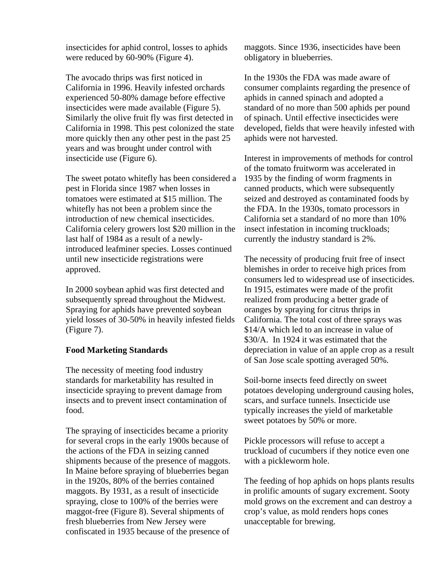insecticides for aphid control, losses to aphids were reduced by 60-90% (Figure 4).

The avocado thrips was first noticed in California in 1996. Heavily infested orchards experienced 50-80% damage before effective insecticides were made available (Figure 5). Similarly the olive fruit fly was first detected in California in 1998. This pest colonized the state more quickly then any other pest in the past 25 years and was brought under control with insecticide use (Figure 6).

The sweet potato whitefly has been considered a pest in Florida since 1987 when losses in tomatoes were estimated at \$15 million. The whitefly has not been a problem since the introduction of new chemical insecticides. California celery growers lost \$20 million in the last half of 1984 as a result of a newlyintroduced leafminer species. Losses continued until new insecticide registrations were approved.

In 2000 soybean aphid was first detected and subsequently spread throughout the Midwest. Spraying for aphids have prevented soybean yield losses of 30-50% in heavily infested fields (Figure 7).

#### **Food Marketing Standards**

The necessity of meeting food industry standards for marketability has resulted in insecticide spraying to prevent damage from insects and to prevent insect contamination of food.

The spraying of insecticides became a priority for several crops in the early 1900s because of the actions of the FDA in seizing canned shipments because of the presence of maggots. In Maine before spraying of blueberries began in the 1920s, 80% of the berries contained maggots. By 1931, as a result of insecticide spraying, close to 100% of the berries were maggot-free (Figure 8). Several shipments of fresh blueberries from New Jersey were confiscated in 1935 because of the presence of maggots. Since 1936, insecticides have been obligatory in blueberries.

In the 1930s the FDA was made aware of consumer complaints regarding the presence of aphids in canned spinach and adopted a standard of no more than 500 aphids per pound of spinach. Until effective insecticides were developed, fields that were heavily infested with aphids were not harvested.

Interest in improvements of methods for control of the tomato fruitworm was accelerated in 1935 by the finding of worm fragments in canned products, which were subsequently seized and destroyed as contaminated foods by the FDA. In the 1930s, tomato processors in California set a standard of no more than 10% insect infestation in incoming truckloads; currently the industry standard is 2%.

The necessity of producing fruit free of insect blemishes in order to receive high prices from consumers led to widespread use of insecticides. In 1915, estimates were made of the profit realized from producing a better grade of oranges by spraying for citrus thrips in California. The total cost of three sprays was \$14/A which led to an increase in value of \$30/A. In 1924 it was estimated that the depreciation in value of an apple crop as a result of San Jose scale spotting averaged 50%.

Soil-borne insects feed directly on sweet potatoes developing underground causing holes, scars, and surface tunnels. Insecticide use typically increases the yield of marketable sweet potatoes by 50% or more.

Pickle processors will refuse to accept a truckload of cucumbers if they notice even one with a pickleworm hole.

The feeding of hop aphids on hops plants results in prolific amounts of sugary excrement. Sooty mold grows on the excrement and can destroy a crop's value, as mold renders hops cones unacceptable for brewing.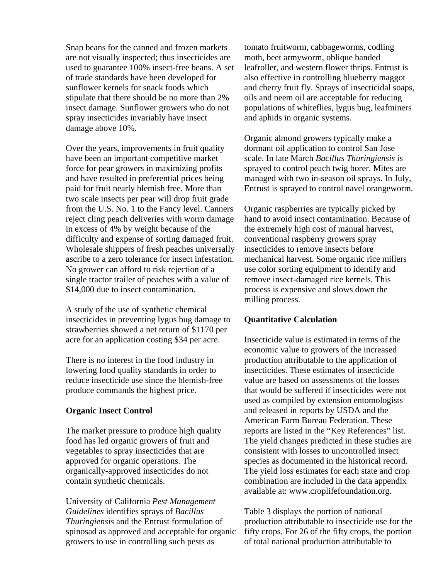Snap beans for the canned and frozen markets are not visually inspected; thus insecticides are used to guarantee 100% insect-free beans. A set of trade standards have been developed for sunflower kernels for snack foods which stipulate that there should be no more than 2% insect damage. Sunflower growers who do not spray insecticides invariably have insect damage above 10%.

Over the years, improvements in fruit quality have been an important competitive market force for pear growers in maximizing profits and have resulted in preferential prices being paid for fruit nearly blemish free. More than two scale insects per pear will drop fruit grade from the U.S. No. 1 to the Fancy level. Canners reject cling peach deliveries with worm damage in excess of 4% by weight because of the difficulty and expense of sorting damaged fruit. Wholesale shippers of fresh peaches universally ascribe to a zero tolerance for insect infestation. No grower can afford to risk rejection of a single tractor trailer of peaches with a value of \$14,000 due to insect contamination.

A study of the use of synthetic chemical insecticides in preventing lygus bug damage to strawberries showed a net return of \$1170 per acre for an application costing \$34 per acre.

There is no interest in the food industry in lowering food quality standards in order to reduce insecticide use since the blemish-free produce commands the highest price.

#### **Organic Insect Control**

The market pressure to produce high quality food has led organic growers of fruit and vegetables to spray insecticides that are approved for organic operations. The organically-approved insecticides do not contain synthetic chemicals.

University of California *Pest Management Guidelines* identifies sprays of *Bacillus Thuringiensis* and the Entrust formulation of spinosad as approved and acceptable for organic growers to use in controlling such pests as

tomato fruitworm, cabbageworms, codling moth, beet armyworm, oblique banded leafroller, and western flower thrips. Entrust is also effective in controlling blueberry maggot and cherry fruit fly. Sprays of insecticidal soaps, oils and neem oil are acceptable for reducing populations of whiteflies, lygus bug, leafminers and aphids in organic systems.

Organic almond growers typically make a dormant oil application to control San Jose scale. In late March *Bacillus Thuringiensis* is sprayed to control peach twig borer. Mites are managed with two in-season oil sprays. In July, Entrust is sprayed to control navel orangeworm.

Organic raspberries are typically picked by hand to avoid insect contamination. Because of the extremely high cost of manual harvest, conventional raspberry growers spray insecticides to remove insects before mechanical harvest. Some organic rice millers use color sorting equipment to identify and remove insect-damaged rice kernels. This process is expensive and slows down the milling process.

#### **Quantitative Calculation**

Insecticide value is estimated in terms of the economic value to growers of the increased production attributable to the application of insecticides. These estimates of insecticide value are based on assessments of the losses that would be suffered if insecticides were not used as compiled by extension entomologists and released in reports by USDA and the American Farm Bureau Federation. These reports are listed in the "Key References" list. The yield changes predicted in these studies are consistent with losses to uncontrolled insect species as documented in the historical record. The yield loss estimates for each state and crop combination are included in the data appendix available at: www.croplifefoundation.org.

Table 3 displays the portion of national production attributable to insecticide use for the fifty crops. For 26 of the fifty crops, the portion of total national production attributable to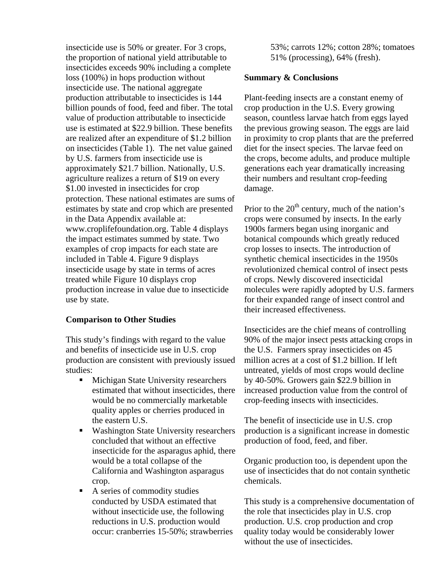insecticide use is 50% or greater. For 3 crops, the proportion of national yield attributable to insecticides exceeds 90% including a complete loss (100%) in hops production without insecticide use. The national aggregate production attributable to insecticides is 144 billion pounds of food, feed and fiber. The total value of production attributable to insecticide use is estimated at \$22.9 billion. These benefits are realized after an expenditure of \$1.2 billion on insecticides (Table 1). The net value gained by U.S. farmers from insecticide use is approximately \$21.7 billion. Nationally, U.S. agriculture realizes a return of \$19 on every \$1.00 invested in insecticides for crop protection. These national estimates are sums of estimates by state and crop which are presented in the Data Appendix available at: www.croplifefoundation.org. Table 4 displays the impact estimates summed by state. Two examples of crop impacts for each state are included in Table 4. Figure 9 displays insecticide usage by state in terms of acres treated while Figure 10 displays crop production increase in value due to insecticide use by state.

#### **Comparison to Other Studies**

This study's findings with regard to the value and benefits of insecticide use in U.S. crop production are consistent with previously issued studies:

- **Michigan State University researchers** estimated that without insecticides, there would be no commercially marketable quality apples or cherries produced in the eastern U.S.
- Washington State University researchers concluded that without an effective insecticide for the asparagus aphid, there would be a total collapse of the California and Washington asparagus crop.
- A series of commodity studies conducted by USDA estimated that without insecticide use, the following reductions in U.S. production would occur: cranberries 15-50%; strawberries

53%; carrots 12%; cotton 28%; tomatoes 51% (processing), 64% (fresh).

#### **Summary & Conclusions**

Plant-feeding insects are a constant enemy of crop production in the U.S. Every growing season, countless larvae hatch from eggs layed the previous growing season. The eggs are laid in proximity to crop plants that are the preferred diet for the insect species. The larvae feed on the crops, become adults, and produce multiple generations each year dramatically increasing their numbers and resultant crop-feeding damage.

Prior to the  $20<sup>th</sup>$  century, much of the nation's crops were consumed by insects. In the early 1900s farmers began using inorganic and botanical compounds which greatly reduced crop losses to insects. The introduction of synthetic chemical insecticides in the 1950s revolutionized chemical control of insect pests of crops. Newly discovered insecticidal molecules were rapidly adopted by U.S. farmers for their expanded range of insect control and their increased effectiveness.

Insecticides are the chief means of controlling 90% of the major insect pests attacking crops in the U.S. Farmers spray insecticides on 45 million acres at a cost of \$1.2 billion. If left untreated, yields of most crops would decline by 40-50%. Growers gain \$22.9 billion in increased production value from the control of crop-feeding insects with insecticides.

The benefit of insecticide use in U.S. crop production is a significant increase in domestic production of food, feed, and fiber.

Organic production too, is dependent upon the use of insecticides that do not contain synthetic chemicals.

This study is a comprehensive documentation of the role that insecticides play in U.S. crop production. U.S. crop production and crop quality today would be considerably lower without the use of insecticides.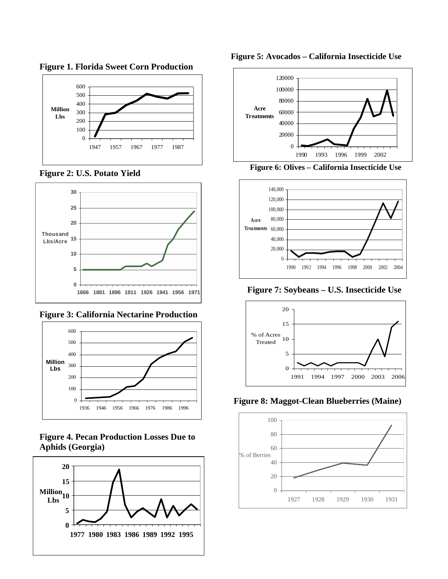

**Figure 1. Florida Sweet Corn Production** 

**Figure 2: U.S. Potato Yield** 



**Figure 3: California Nectarine Production** 



**Figure 4. Pecan Production Losses Due to Aphids (Georgia)**







**Figure 6: Olives – California Insecticide Use** 



**Figure 7: Soybeans – U.S. Insecticide Use**



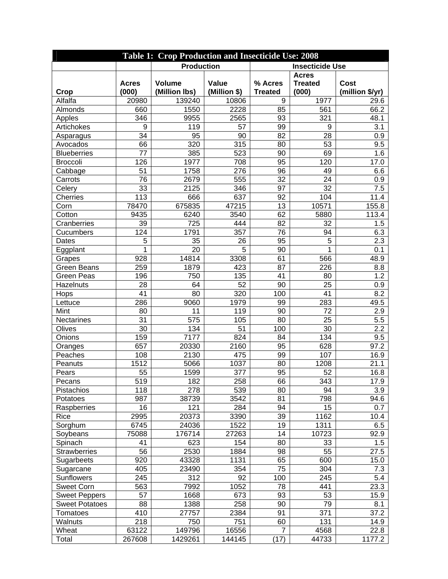| <b>Table 1: Crop Production and Insecticide Use: 2008</b> |                       |                                |                       |                           |                                         |                         |
|-----------------------------------------------------------|-----------------------|--------------------------------|-----------------------|---------------------------|-----------------------------------------|-------------------------|
|                                                           | <b>Production</b>     |                                |                       |                           | <b>Insecticide Use</b>                  |                         |
| Crop                                                      | <b>Acres</b><br>(000) | <b>Volume</b><br>(Million lbs) | Value<br>(Million \$) | % Acres<br><b>Treated</b> | <b>Acres</b><br><b>Treated</b><br>(000) | Cost<br>(million \$/yr) |
| Alfalfa                                                   | 20980                 | 139240                         | 10806                 | 9                         | 1977                                    | 29.6                    |
| Almonds                                                   | 660                   | 1550                           | 2228                  | 85                        | 561                                     | 66.2                    |
| Apples                                                    | 346                   | 9955                           | 2565                  | 93                        | 321                                     | 48.1                    |
| Artichokes                                                | 9                     | 119                            | 57                    | 99                        | 9                                       | 3.1                     |
| Asparagus                                                 | 34                    | 95                             | 90                    | 82                        | 28                                      | 0.9                     |
| Avocados                                                  | 66                    | 320                            | 315                   | 80                        | 53                                      | 9.5                     |
| <b>Blueberries</b>                                        | 77                    | 385                            | 523                   | 90                        | 69                                      | 1.6                     |
| <b>Broccoli</b>                                           | 126                   | 1977                           | 708                   | 95                        | 120                                     | 17.0                    |
| Cabbage                                                   | 51                    | 1758                           | 276                   | 96                        | 49                                      | 6.6                     |
| Carrots                                                   | 76                    | 2679                           | 555                   | 32                        | 24                                      | 0.9                     |
| Celery                                                    | 33                    | 2125                           | 346                   | 97                        | 32                                      | 7.5                     |
| <b>Cherries</b>                                           | 113                   | 666                            | 637                   | 92                        | 104                                     | 11.4                    |
| Corn                                                      | 78470                 | 675835                         | 47215                 | 13                        | 10571                                   | 155.8                   |
| Cotton                                                    | 9435                  | 6240                           | 3540                  | 62                        | 5880                                    | 113.4                   |
| Cranberries                                               | 39                    | 725                            | 444                   | 82                        | 32                                      | 1.5                     |
| Cucumbers                                                 | 124                   | 1791                           | 357                   | 76                        | 94                                      | 6.3                     |
| Dates                                                     | 5                     | 35                             | 26                    | 95                        | 5                                       | 2.3                     |
| Eggplant                                                  | 1                     | 20                             | 5                     | 90                        | 1                                       | 0.1                     |
| Grapes                                                    | 928                   | 14814                          | 3308                  | 61                        | 566                                     | 48.9                    |
| <b>Green Beans</b>                                        | 259                   | 1879                           | 423                   | 87                        | 226                                     | 8.8                     |
| <b>Green Peas</b>                                         | 196                   | 750                            | 135                   | 41                        | 80                                      | 1.2                     |
| Hazelnuts                                                 | 28                    | 64                             | 52                    | 90                        | 25                                      | 0.9                     |
| Hops                                                      | 41                    | 80                             | 320                   | 100                       | 41                                      | 8.2                     |
| Lettuce                                                   | 286                   | 9060                           | 1979                  | 99                        | 283                                     | 49.5                    |
| Mint                                                      | 80                    | 11                             | 119                   | 90                        | 72                                      | 2.9                     |
| Nectarines                                                | 31                    | 575                            | 105                   | 80                        | 25                                      | 5.5                     |
| Olives                                                    | 30                    | 134                            | 51                    | 100                       | 30                                      | 2.2                     |
| Onions                                                    | 159                   | 7177                           | 824                   | 84                        | 134                                     | 9.5                     |
| Oranges                                                   | 657                   | 20330                          | 2160                  | 95                        | 628                                     | 97.2                    |
| Peaches                                                   | 108                   | 2130                           | 475                   | 99                        | 107                                     | 16.9                    |
| Peanuts                                                   | 1512                  | 5066                           | 1037                  | 80                        | 1208                                    | 21.1                    |
| Pears                                                     | 55                    | 1599                           | 377                   | 95                        | 52                                      | 16.8                    |
| Pecans                                                    | 519                   | 182                            | 258                   | 66                        | 343                                     | 17.9                    |
| Pistachios                                                | 118                   | 278                            | 539                   | 80                        | 94                                      | 3.9                     |
| Potatoes                                                  | 987                   | 38739                          | 3542                  | 81                        | 798                                     | 94.6                    |
| Raspberries                                               | 16                    | 121                            | 284                   | 94                        | 15                                      | 0.7                     |
| Rice                                                      | 2995                  | 20373                          | 3390                  | 39                        | 1162                                    | 10.4                    |
| Sorghum                                                   | 6745                  | 24036                          | 1522                  | 19                        | 1311                                    | 6.5                     |
| Soybeans                                                  | 75088                 | 176714                         | 27263                 | 14                        | 10723                                   | 92.9                    |
| Spinach                                                   | 41                    | 623                            | 154                   | 80                        | 33                                      | 1.5                     |
| Strawberries                                              | 56                    | 2530                           | 1884                  | 98                        | 55                                      | 27.5                    |
| Sugarbeets                                                | 920                   | 43328                          | 1131                  | 65                        | 600                                     | 15.0                    |
| Sugarcane                                                 | 405                   | 23490                          | 354                   | 75                        | 304                                     | 7.3                     |
| Sunflowers                                                | 245                   | 312                            | 92                    | 100                       | 245                                     | 5.4                     |
| <b>Sweet Corn</b>                                         | 563                   | 7992                           | 1052                  | 78                        | 441                                     | 23.3                    |
| <b>Sweet Peppers</b>                                      | 57                    | 1668                           | 673                   | 93                        | 53                                      | 15.9                    |
| <b>Sweet Potatoes</b>                                     | 88                    | 1388                           | 258                   | 90                        | 79                                      | 8.1                     |
| Tomatoes                                                  | 410                   | 27757                          | 2384                  | 91                        | 371                                     | 37.2                    |
| Walnuts                                                   | 218                   | 750                            | 751                   | 60                        | 131                                     | 14.9                    |
| Wheat                                                     | 63122                 | 149796                         | 16556                 | 7                         | 4568                                    | 22.8                    |
| Total                                                     | 267608                | 1429261                        | 144145                | (17)                      | 44733                                   | 1177.2                  |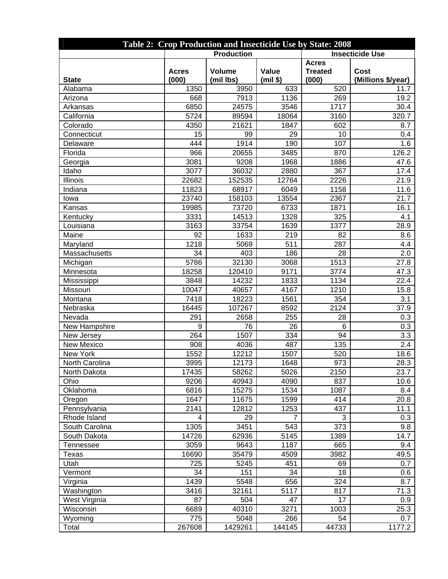| Table 2: Crop Production and Insecticide Use by State: 2008 |                       |                            |                   |                                         |                                   |  |  |
|-------------------------------------------------------------|-----------------------|----------------------------|-------------------|-----------------------------------------|-----------------------------------|--|--|
|                                                             | <b>Production</b>     |                            |                   |                                         | <b>Insecticide Use</b>            |  |  |
| <b>State</b>                                                | <b>Acres</b><br>(000) | <b>Volume</b><br>(mil lbs) | Value<br>(min \$) | <b>Acres</b><br><b>Treated</b><br>(000) | <b>Cost</b><br>(Millions \$/year) |  |  |
| Alabama                                                     | 1350                  | 3950                       | 633               | 520                                     | 11.7                              |  |  |
| Arizona                                                     | 668                   | 7913                       | 1136              | 269                                     | 19.2                              |  |  |
| Arkansas                                                    | 6850                  | 24575                      | 3546              | 1717                                    | 30.4                              |  |  |
| California                                                  | 5724                  | 89594                      | 18064             | 3160                                    | 320.7                             |  |  |
| Colorado                                                    | 4350                  | 21621                      | 1847              | 602                                     | 8.7                               |  |  |
| Connecticut                                                 | 15                    | 99                         | 29                | 10                                      | 0.4                               |  |  |
| Delaware                                                    | 444                   | 1914                       | 190               | 107                                     | 1.6                               |  |  |
| Florida                                                     | 966                   | 20655                      | 3485              | 870                                     | 126.2                             |  |  |
| Georgia                                                     | 3081                  | 9208                       | 1968              | 1886                                    | 47.6                              |  |  |
| Idaho                                                       | 3077                  | 36032                      | 2880              | 367                                     | 17.4                              |  |  |
| Illinois                                                    | 22682                 | 152535                     | 12764             | 2226                                    | 21.9                              |  |  |
| Indiana                                                     | 11823                 | 68917                      | 6049              | 1158                                    | 11.6                              |  |  |
| lowa                                                        | 23740                 | 158103                     | 13554             | 2367                                    | 21.7                              |  |  |
| Kansas                                                      | 19985                 | 73720                      | 6733              | 1871                                    | 16.1                              |  |  |
| Kentucky                                                    | 3331                  | 14513                      | 1328              | 325                                     | 4.1                               |  |  |
| Louisiana                                                   | 3163                  | 33754                      | 1639              | 1377                                    | 28.9                              |  |  |
| Maine                                                       | 92                    | 1633                       | 219               | 82                                      | 8.6                               |  |  |
| Maryland                                                    | 1218                  | 5069                       | 511               | 287                                     | 4.4                               |  |  |
| Massachusetts                                               | 34                    | 403                        | 186               | 28                                      | 2.0                               |  |  |
| Michigan                                                    | 5786                  | 32130                      | 3068              | 1513                                    | 27.8                              |  |  |
| Minnesota                                                   | 18258                 | 120410                     | 9171              | 3774                                    | 47.3                              |  |  |
| Mississippi                                                 | 3848                  | 14232                      | 1833              | 1134                                    | 22.4                              |  |  |
| Missouri                                                    | 10047                 | 40657                      | 4167              | 1210                                    | 15.8                              |  |  |
| Montana                                                     | 7418                  | 18223                      | 1561              | 354                                     | 3.1                               |  |  |
| Nebraska                                                    | 16445                 | 107267                     | 8592              | 2124                                    | 37.9                              |  |  |
| Nevada                                                      | 291                   | 2658                       | 255               | 28                                      | 0.3                               |  |  |
| New Hampshire                                               | 9                     | 76                         | 26                | 6                                       | 0.3                               |  |  |
| New Jersey                                                  | 264                   | 1507                       | 334               | 94                                      | 3.3                               |  |  |
| <b>New Mexico</b>                                           | 908                   | 4036                       | 487               | 135                                     | 2.4                               |  |  |
| New York                                                    | 1552                  | 12212                      | 1507              | 520                                     | 18.6                              |  |  |
| North Carolina                                              | 3995                  | 12173                      | 1648              | 973                                     | 28.3                              |  |  |
| North Dakota                                                | 17435                 | 58262                      | 5026              | 2150                                    | 23.7                              |  |  |
| Ohio                                                        | 9206                  | 40943                      | 4090              | 837                                     | 10.6                              |  |  |
| Oklahoma                                                    | 6816                  | 15275                      | 1534              | 1087                                    | 8.4                               |  |  |
| Oregon                                                      | 1647                  | 11675                      | 1599              | 414                                     | 20.8                              |  |  |
| Pennsylvania                                                | 2141                  | 12812                      | 1253              | 437                                     | 11.1                              |  |  |
| Rhode Island                                                | 4                     | 29                         | 7                 | 3                                       | 0.3                               |  |  |
| South Carolina                                              | 1305                  | 3451                       | 543               | 373                                     | 9.8                               |  |  |
| South Dakota                                                | 14726                 | 62936                      | 5145              | 1389                                    | 14.7                              |  |  |
| <b>Tennessee</b>                                            | 3059                  | 9643                       | 1187              | 665                                     | 9.4                               |  |  |
| Texas                                                       | 16690                 | 35479                      | 4509              | 3982                                    | 49.5                              |  |  |
| Utah                                                        | 725                   | 5245                       | 451               | 69                                      | 0.7                               |  |  |
| Vermont                                                     | 34                    | 151                        | 34                | 18                                      | 0.6                               |  |  |
| Virginia                                                    | 1439                  | 5548                       | 656               | 324                                     | 8.7                               |  |  |
| Washington                                                  | 3416                  | 32161                      | 5117              | 817                                     | 71.3                              |  |  |
| West Virginia                                               | 87                    | 504                        | 47                | 17                                      | 0.9                               |  |  |
| Wisconsin                                                   | 6689                  | 40310                      | 3271              | 1003                                    | 25.3                              |  |  |
| Wyoming                                                     | 775                   | 5048                       | 266               | 54                                      | 0.7                               |  |  |
| Total                                                       | 267608                | 1429261                    | 144145            | 44733                                   | 1177.2                            |  |  |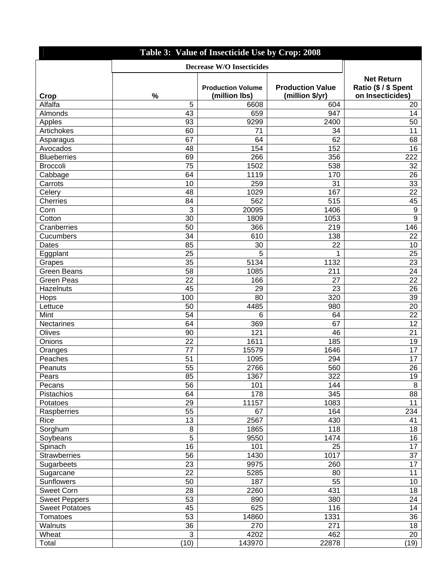| Table 3: Value of Insecticide Use by Crop: 2008 |      |                                           |                                            |                                                               |
|-------------------------------------------------|------|-------------------------------------------|--------------------------------------------|---------------------------------------------------------------|
|                                                 |      |                                           |                                            |                                                               |
| Crop                                            | $\%$ | <b>Production Volume</b><br>(million lbs) | <b>Production Value</b><br>(million \$/yr) | <b>Net Return</b><br>Ratio (\$ / \$ Spent<br>on Insecticides) |
| Alfalfa                                         | 5    | 6608                                      | 604                                        | 20                                                            |
| Almonds                                         | 43   | 659                                       | 947                                        | 14                                                            |
| Apples                                          | 93   | 9299                                      | 2400                                       | 50                                                            |
| Artichokes                                      | 60   | 71                                        | 34                                         | 11                                                            |
| Asparagus                                       | 67   | 64                                        | 62                                         | 68                                                            |
| Avocados                                        | 48   | 154                                       | 152                                        | 16                                                            |
| <b>Blueberries</b>                              | 69   | 266                                       | 356                                        | 222                                                           |
| <b>Broccoli</b>                                 | 75   | 1502                                      | 538                                        | 32                                                            |
| Cabbage                                         | 64   | 1119                                      | 170                                        | 26                                                            |
| Carrots                                         | 10   | 259                                       | 31                                         | 33                                                            |
| Celery                                          | 48   | 1029                                      | 167                                        | 22                                                            |
| Cherries                                        | 84   | 562                                       | 515                                        | 45                                                            |
| Corn                                            | 3    | 20095                                     | 1406                                       | $9\,$                                                         |
| Cotton                                          | 30   | 1809                                      | 1053                                       | $\boldsymbol{9}$                                              |
| Cranberries                                     | 50   | 366                                       | 219                                        | 146                                                           |
| Cucumbers                                       | 34   | 610                                       | 138                                        | 22                                                            |
| Dates                                           | 85   | 30                                        | 22                                         | 10                                                            |
| Eggplant                                        | 25   | 5                                         | 1                                          | 25                                                            |
| Grapes                                          | 35   | 5134                                      | 1132                                       | 23                                                            |
| <b>Green Beans</b>                              | 58   | 1085                                      | 211                                        | 24                                                            |
| <b>Green Peas</b>                               | 22   | 166                                       | 27                                         | 22                                                            |
| Hazelnuts                                       | 45   | 29                                        | 23                                         | 26                                                            |
| Hops                                            | 100  | 80                                        | 320                                        | 39                                                            |
| Lettuce                                         | 50   | 4485                                      | 980                                        | 20                                                            |
| Mint                                            | 54   | 6                                         | 64                                         | 22                                                            |
| Nectarines                                      | 64   | 369                                       | 67                                         | 12                                                            |
| Olives                                          | 90   | 121                                       | 46                                         | 21                                                            |
| Onions                                          | 22   | 1611                                      | 185                                        | 19                                                            |
| Oranges                                         | 77   | 15579                                     | 1646                                       | 17                                                            |
| Peaches                                         | 51   | 1095                                      | 294                                        | 17                                                            |
| Peanuts                                         | 55   | 2766                                      | 560                                        | 26                                                            |
| Pears                                           | 85   | 1367                                      | 322                                        | 19                                                            |
| Pecans                                          | 56   | 101                                       | 144                                        | 8                                                             |
| Pistachios                                      | 64   | 178                                       | 345                                        | 88                                                            |
| Potatoes                                        | 29   | 11157                                     | 1083                                       | 11                                                            |
| Raspberries                                     | 55   | 67                                        | 164                                        | 234                                                           |
| Rice                                            | 13   | 2567                                      | 430                                        | 41                                                            |
| Sorghum                                         | 8    | 1865                                      | 118                                        | 18                                                            |
| Soybeans                                        | 5    | 9550                                      | 1474                                       | 16                                                            |
| Spinach                                         | 16   | 101                                       | 25                                         | 17                                                            |
| <b>Strawberries</b>                             | 56   | 1430                                      | 1017                                       | 37                                                            |
| Sugarbeets                                      | 23   | 9975                                      | 260                                        | 17                                                            |
| Sugarcane                                       | 22   | 5285                                      | 80                                         | 11                                                            |
| Sunflowers                                      | 50   | 187                                       | 55                                         | 10                                                            |
| <b>Sweet Corn</b>                               | 28   | 2260                                      | 431                                        | 18                                                            |
| <b>Sweet Peppers</b>                            | 53   | 890                                       | 380                                        | 24                                                            |
| <b>Sweet Potatoes</b>                           | 45   | 625                                       | 116                                        | 14                                                            |
| <b>Tomatoes</b>                                 | 53   | 14860                                     | 1331                                       | 36                                                            |
| Walnuts                                         | 36   | 270                                       | 271                                        | 18                                                            |
| Wheat                                           | 3    | 4202                                      | 462                                        | 20                                                            |
| Total                                           | (10) | 143970                                    | 22878                                      | (19)                                                          |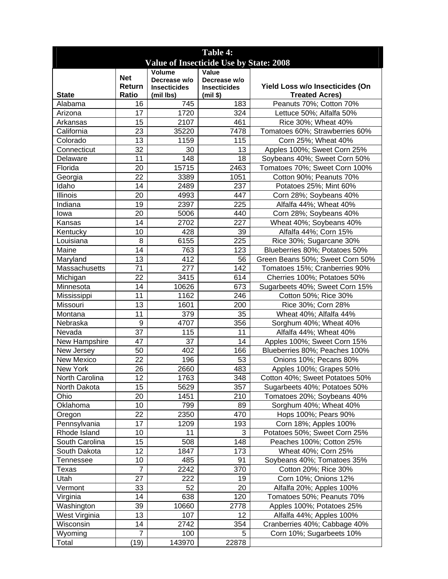| Table 4:                                |                  |                                  |                                   |                                 |  |  |
|-----------------------------------------|------------------|----------------------------------|-----------------------------------|---------------------------------|--|--|
| Value of Insecticide Use by State: 2008 |                  |                                  |                                   |                                 |  |  |
|                                         | <b>Net</b>       | Volume                           | Value                             |                                 |  |  |
|                                         | Return           | Decrease w/o                     | Decrease w/o                      | Yield Loss w/o Insecticides (On |  |  |
| <b>State</b>                            | Ratio            | <b>Insecticides</b><br>(mil lbs) | <b>Insecticides</b><br>$(mil$ \$) | <b>Treated Acres)</b>           |  |  |
| Alabama                                 | 16               | 745                              | 183                               | Peanuts 70%; Cotton 70%         |  |  |
| Arizona                                 | 17               | 1720                             | 324                               | Lettuce 50%; Alfalfa 50%        |  |  |
| Arkansas                                | 15               | 2107                             | 461                               | Rice 30%; Wheat 40%             |  |  |
| California                              | 23               | 35220                            | 7478                              | Tomatoes 60%; Strawberries 60%  |  |  |
| Colorado                                | 13               | 1159                             | 115                               | Corn 25%; Wheat 40%             |  |  |
| Connecticut                             | 32               | 30                               | 13                                | Apples 100%; Sweet Corn 25%     |  |  |
| Delaware                                | 11               | 148                              | 18                                | Soybeans 40%; Sweet Corn 50%    |  |  |
| Florida                                 | 20               | 15715                            | 2463                              | Tomatoes 70%; Sweet Corn 100%   |  |  |
| Georgia                                 | 22               | 3389                             | 1051                              | Cotton 90%; Peanuts 70%         |  |  |
| Idaho                                   | 14               | 2489                             | 237                               | Potatoes 25%; Mint 60%          |  |  |
| Illinois                                | 20               | 4993                             | 447                               | Corn 28%; Soybeans 40%          |  |  |
| Indiana                                 | 19               | 2397                             | 225                               | Alfalfa 44%; Wheat 40%          |  |  |
|                                         | 20               |                                  | 440                               |                                 |  |  |
| lowa                                    |                  | 5006                             |                                   | Corn 28%; Soybeans 40%          |  |  |
| Kansas                                  | 14               | 2702                             | 227                               | Wheat 40%; Soybeans 40%         |  |  |
| Kentucky                                | 10               | 428                              | 39                                | Alfalfa 44%; Corn 15%           |  |  |
| Louisiana                               | 8                | 6155                             | 225                               | Rice 30%; Sugarcane 30%         |  |  |
| Maine                                   | 14               | 763                              | 123                               | Blueberries 80%; Potatoes 50%   |  |  |
| Maryland                                | 13               | 412                              | 56                                | Green Beans 50%; Sweet Corn 50% |  |  |
| Massachusetts                           | 71               | 277                              | 142                               | Tomatoes 15%; Cranberries 90%   |  |  |
| Michigan                                | 22               | 3415                             | 614                               | Cherries 100%; Potatoes 50%     |  |  |
| Minnesota                               | 14               | 10626                            | 673                               | Sugarbeets 40%; Sweet Corn 15%  |  |  |
| Mississippi                             | 11               | 1162                             | 246                               | Cotton 50%; Rice 30%            |  |  |
| Missouri                                | 13               | 1601                             | 200                               | Rice 30%; Corn 28%              |  |  |
| Montana                                 | 11               | 379                              | 35                                | Wheat 40%; Alfalfa 44%          |  |  |
| Nebraska                                | $\boldsymbol{9}$ | 4707                             | 356                               | Sorghum 40%; Wheat 40%          |  |  |
| Nevada                                  | 37               | 115                              | 11                                | Alfalfa 44%; Wheat 40%          |  |  |
| New Hampshire                           | 47               | 37                               | 14                                | Apples 100%; Sweet Corn 15%     |  |  |
| New Jersey                              | 50               | 402                              | 166                               | Blueberries 80%; Peaches 100%   |  |  |
| <b>New Mexico</b>                       | 22               | 196                              | 53                                | Onions 10%; Pecans 80%          |  |  |
| New York                                | 26               | 2660                             | 483                               | Apples 100%; Grapes 50%         |  |  |
| North Carolina                          | 12               | 1763                             | 348                               | Cotton 40%; Sweet Potatoes 50%  |  |  |
| North Dakota                            | 15               | 5629                             | 357                               | Sugarbeets 40%; Potatoes 50%    |  |  |
| Ohio                                    | 20               | 1451                             | 210                               | Tomatoes 20%; Soybeans 40%      |  |  |
| Oklahoma                                | 10               | 799                              | 89                                | Sorghum 40%; Wheat 40%          |  |  |
| Oregon                                  | 22               | 2350                             | 470                               | Hops 100%; Pears 90%            |  |  |
| Pennsylvania                            | 17               | 1209                             | 193                               | Corn 18%; Apples 100%           |  |  |
| Rhode Island                            | 10               | 11                               | 3                                 | Potatoes 50%; Sweet Corn 25%    |  |  |
| South Carolina                          | 15               | 508                              | 148                               | Peaches 100%; Cotton 25%        |  |  |
| South Dakota                            | 12               | 1847                             | 173                               | Wheat 40%; Corn 25%             |  |  |
| <b>Tennessee</b>                        | 10               | 485                              | 91                                | Soybeans 40%; Tomatoes 35%      |  |  |
| Texas                                   | $\overline{7}$   | 2242                             | 370                               | Cotton 20%; Rice 30%            |  |  |
| Utah                                    | 27               | 222                              | 19                                | Corn 10%; Onions 12%            |  |  |
| Vermont                                 | 33               | 52                               | 20                                | Alfalfa 20%; Apples 100%        |  |  |
| Virginia                                | 14               | 638                              | 120                               | Tomatoes 50%; Peanuts 70%       |  |  |
| Washington                              | 39               | 10660                            | 2778                              | Apples 100%; Potatoes 25%       |  |  |
| West Virginia                           | 13               | 107                              | 12 <sub>2</sub>                   | Alfalfa 44%; Apples 100%        |  |  |
| Wisconsin                               | 14               | 2742                             | 354                               | Cranberries 40%; Cabbage 40%    |  |  |
| Wyoming                                 | $\overline{7}$   | 100                              | 5                                 | Corn 10%; Sugarbeets 10%        |  |  |
| Total                                   | (19)             | 143970                           | 22878                             |                                 |  |  |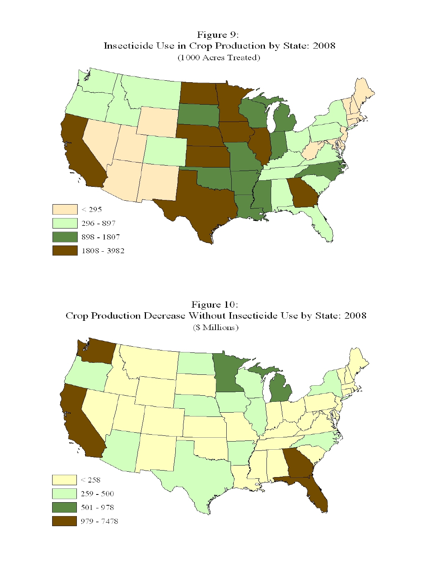Figure 9: Insecticide Use in Crop Production by State: 2008 (1000 Acres Treated)



Figure 10: Crop Production Decrease Without Insecticide Use by State: 2008 (\$ Millions)

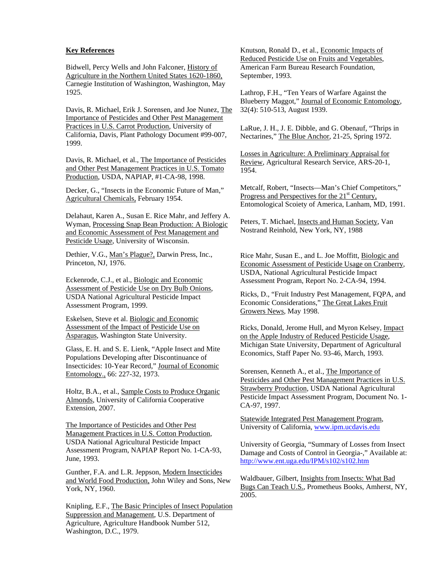#### **Key References**

Bidwell, Percy Wells and John Falconer, History of Agriculture in the Northern United States 1620-1860, Carnegie Institution of Washington, Washington, May 1925.

Davis, R. Michael, Erik J. Sorensen, and Joe Nunez, The Importance of Pesticides and Other Pest Management Practices in U.S. Carrot Production, University of California, Davis, Plant Pathology Document #99-007, 1999.

Davis, R. Michael, et al., The Importance of Pesticides and Other Pest Management Practices in U.S. Tomato Production, USDA, NAPIAP, #1-CA-98, 1998.

Decker, G., "Insects in the Economic Future of Man," Agricultural Chemicals, February 1954.

Delahaut, Karen A., Susan E. Rice Mahr, and Jeffery A. Wyman, Processing Snap Bean Production: A Biologic and Economic Assessment of Pest Management and Pesticide Usage, University of Wisconsin.

Dethier, V.G., Man's Plague?, Darwin Press, Inc., Princeton, NJ, 1976.

Eckenrode, C.J., et al., Biologic and Economic Assessment of Pesticide Use on Dry Bulb Onions, USDA National Agricultural Pesticide Impact Assessment Program, 1999.

Eskelsen, Steve et al. Biologic and Economic Assessment of the Impact of Pesticide Use on Asparagus, Washington State University.

Glass, E. H. and S. E. Lienk, "Apple Insect and Mite Populations Developing after Discontinuance of Insecticides: 10-Year Record," Journal of Economic Entomology., 66: 227-32, 1973.

Holtz, B.A., et al., Sample Costs to Produce Organic Almonds, University of California Cooperative Extension, 2007.

The Importance of Pesticides and Other Pest Management Practices in U.S. Cotton Production, USDA National Agricultural Pesticide Impact Assessment Program, NAPIAP Report No. 1-CA-93, June, 1993.

Gunther, F.A. and L.R. Jeppson, Modern Insecticides and World Food Production, John Wiley and Sons, New York, NY, 1960.

Knipling, E.F., The Basic Principles of Insect Population Suppression and Management, U.S. Department of Agriculture, Agriculture Handbook Number 512, Washington, D.C., 1979.

Knutson, Ronald D., et al., Economic Impacts of Reduced Pesticide Use on Fruits and Vegetables, American Farm Bureau Research Foundation, September, 1993.

Lathrop, F.H., "Ten Years of Warfare Against the Blueberry Maggot," Journal of Economic Entomology, 32(4): 510-513, August 1939.

LaRue, J. H., J. E. Dibble, and G. Obenauf, "Thrips in Nectarines," The Blue Anchor, 21-25, Spring 1972.

Losses in Agriculture: A Preliminary Appraisal for Review, Agricultural Research Service, ARS-20-1, 1954.

Metcalf, Robert, "Insects—Man's Chief Competitors," Progress and Perspectives for the 21<sup>st</sup> Century, Entomological Scoiety of America, Lanham, MD, 1991.

Peters, T. Michael, Insects and Human Society, Van Nostrand Reinhold, New York, NY, 1988

Rice Mahr, Susan E., and L. Joe Moffitt, Biologic and Economic Assessment of Pesticide Usage on Cranberry, USDA, National Agricultural Pesticide Impact Assessment Program, Report No. 2-CA-94, 1994.

Ricks, D., "Fruit Industry Pest Management, FQPA, and Economic Considerations," The Great Lakes Fruit Growers News, May 1998.

Ricks, Donald, Jerome Hull, and Myron Kelsey, Impact on the Apple Industry of Reduced Pesticide Usage, Michigan State University, Department of Agricultural Economics, Staff Paper No. 93-46, March, 1993.

Sorensen, Kenneth A., et al., The Importance of Pesticides and Other Pest Management Practices in U.S. Strawberry Production, USDA National Agricultural Pesticide Impact Assessment Program, Document No. 1- CA-97, 1997.

Statewide Integrated Pest Management Program, University of California, www.ipm.ucdavis.edu

University of Georgia, "Summary of Losses from Insect Damage and Costs of Control in Georgia-," Available at: http://www.ent.uga.edu/IPM/s102/s102.htm

Waldbauer, Gilbert, Insights from Insects: What Bad Bugs Can Teach U.S., Prometheus Books, Amherst, NY, 2005.